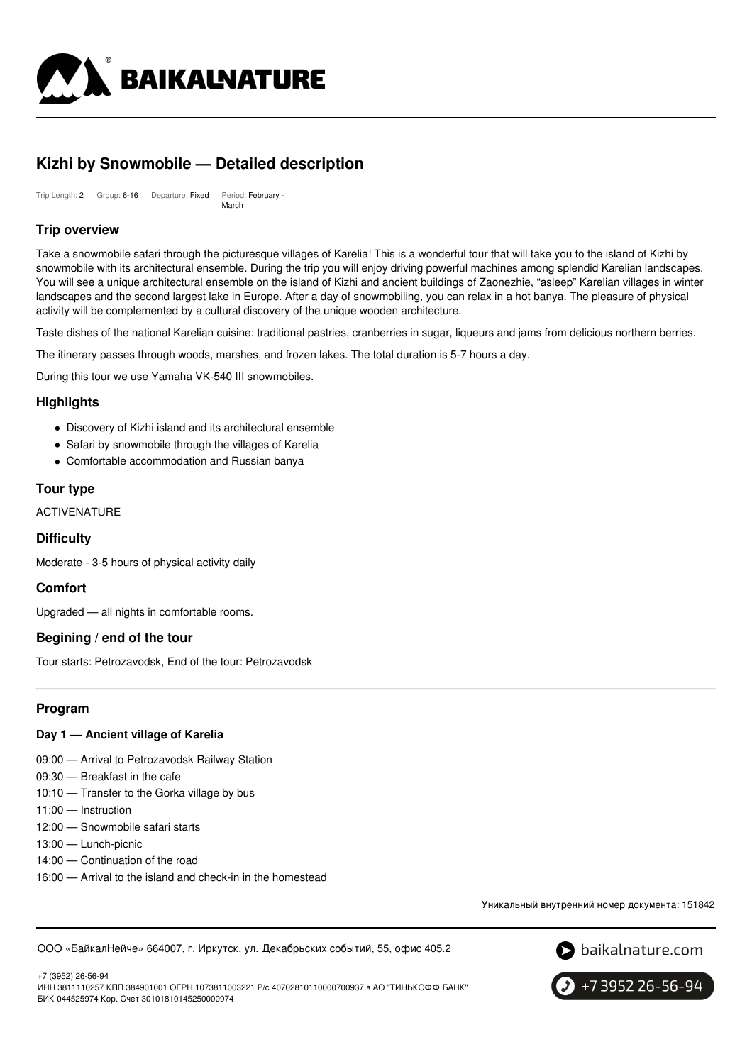

# **Kizhi by Snowmobile — Detailed description**

Trip Length: 2 Group: 6-16 Departure: Fixed Period: February -March

### **Trip overview**

Take a snowmobile safari through the picturesque villages of Karelia! This is a wonderful tour that will take you to the island of Kizhi by snowmobile with its architectural ensemble. During the trip you will enjoy driving powerful machines among splendid Karelian landscapes. You will see a unique architectural ensemble on the island of Kizhi and ancient buildings of Zaonezhie, "asleep" Karelian villages in winter landscapes and the second largest lake in Europe. After a day of snowmobiling, you can relax in a hot banya. The pleasure of physical activity will be complemented by a cultural discovery of the unique wooden architecture.

Taste dishes of the national Karelian cuisine: traditional pastries, cranberries in sugar, liqueurs and jams from delicious northern berries.

The itinerary passes through woods, marshes, and frozen lakes. The total duration is 5-7 hours a day.

During this tour we use Yamaha VK-540 III snowmobiles.

### **Highlights**

- Discovery of Kizhi island and its architectural ensemble
- Safari by snowmobile through the villages of Karelia
- Comfortable accommodation and Russian banya

#### **Tour type**

ACTIVENATURE

### **Difficulty**

Moderate - 3-5 hours of physical activity daily

### **Comfort**

Upgraded — all nights in comfortable rooms.

### **Begining / end of the tour**

Tour starts: Petrozavodsk, End of the tour: Petrozavodsk

#### **Program**

#### **Day 1 — Ancient village of Karelia**

09:00 — Arrival to Petrozavodsk Railway Station

09:30 — Breakfast in the cafe

- 10:10 Transfer to the Gorka village by bus
- 11:00 Instruction
- 12:00 Snowmobile safari starts
- 13:00 Lunch-picnic
- 14:00 Continuation of the road
- 16:00 Arrival to the island and check-in in the homestead

Уникальный внутренний номер документа: 151842

ООО «БайкалНейче» 664007, г. Иркутск, ул. Декабрьских событий, 55, офис 405.2



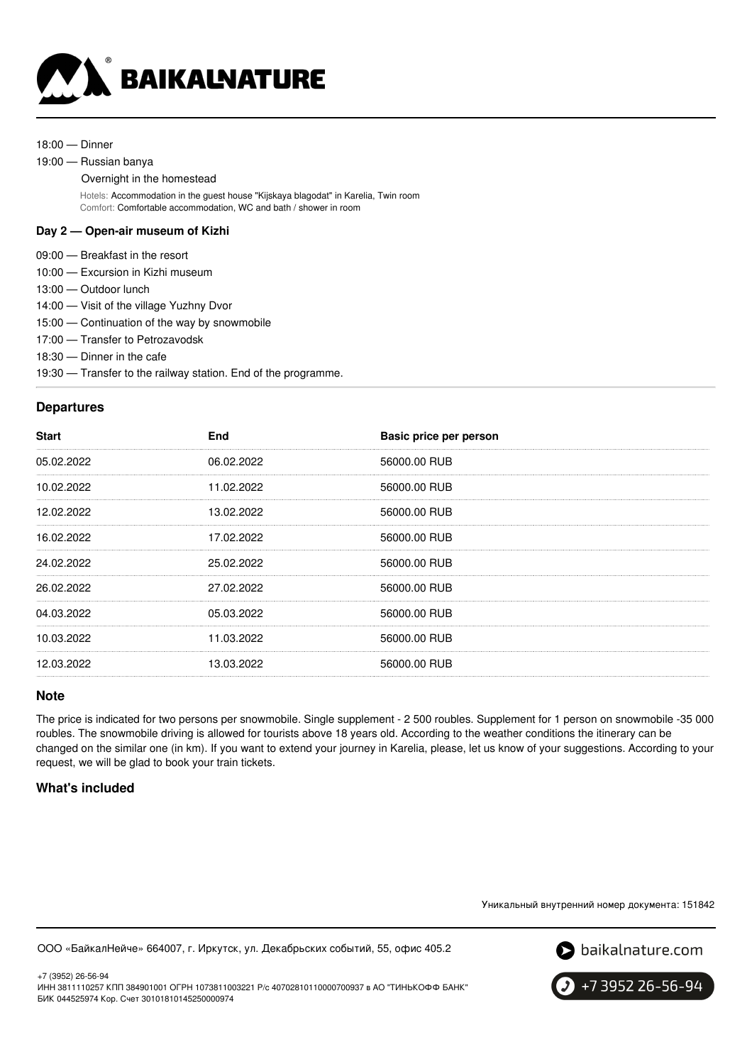

18:00 — Dinner

### 19:00 — Russian banya

#### Overnight in the homestead

Hotels: Accommodation in the guest house "Kijskaya blagodat" in Karelia, Twin room Comfort: Comfortable accommodation, WC and bath / shower in room

#### **Day 2 — Open-air museum of Kizhi**

- 09:00 Breakfast in the resort
- 10:00 Excursion in Kizhi museum
- 13:00 Outdoor lunch
- 14:00 Visit of the village Yuzhny Dvor
- 15:00 Continuation of the way by snowmobile
- 17:00 Transfer to Petrozavodsk
- 18:30 Dinner in the cafe
- 19:30 Transfer to the railway station. End of the programme.

### **Departures**

| <b>Start</b> | End        | Basic price per person |
|--------------|------------|------------------------|
| 05.02.2022   | 06.02.2022 | 56000.00 RUB           |
| 10.02.2022   | 11.02.2022 | 56000.00 RUB           |
| 12.02.2022   | 13.02.2022 | 56000.00 RUB           |
| 16.02.2022   | 17.02.2022 | 56000.00 RUB           |
| 24.02.2022   | 25.02.2022 | 56000.00 RUB           |
| 26.02.2022   | 27.02.2022 | 56000.00 RUB           |
| 04.03.2022   | 05.03.2022 | 56000.00 RUB           |
| 10.03.2022   | 11.03.2022 | 56000.00 RUB           |
| 12.03.2022   | 13.03.2022 | 56000.00 RUB           |
|              |            |                        |

### **Note**

The price is indicated for two persons per snowmobile. Single supplement - 2 500 roubles. Supplement for 1 person on snowmobile -35 000 roubles. The snowmobile driving is allowed for tourists above 18 years old. According to the weather conditions the itinerary can be changed on the similar one (in km). If you want to extend your journey in Karelia, please, let us know of your suggestions. According to your request, we will be glad to book your train tickets.

### **What's included**

Уникальный внутренний номер документа: 151842

ООО «БайкалНейче» 664007, г. Иркутск, ул. Декабрьских событий, 55, офис 405.2



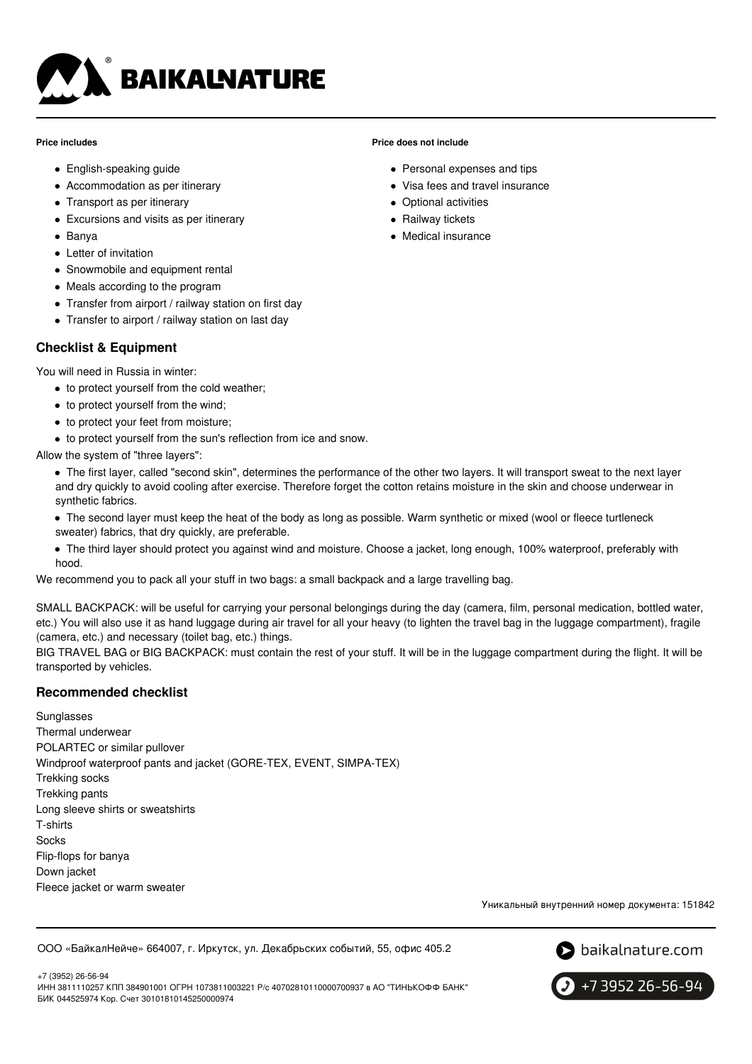

#### **Price includes**

- English-speaking guide
- Accommodation as per itinerary
- Transport as per itinerary
- Excursions and visits as per itinerary
- Banya
- Letter of invitation
- Snowmobile and equipment rental
- Meals according to the program
- Transfer from airport / railway station on first day
- Transfer to airport / railway station on last day

### **Checklist & Equipment**

You will need in Russia in winter:

- to protect yourself from the cold weather;
- to protect yourself from the wind;
- to protect your feet from moisture;
- to protect yourself from the sun's reflection from ice and snow.

Allow the system of "three layers":

- The first layer, called "second skin", determines the performance of the other two layers. It will transport sweat to the next layer and dry quickly to avoid cooling after exercise. Therefore forget the cotton retains moisture in the skin and choose underwear in synthetic fabrics.
- The second layer must keep the heat of the body as long as possible. Warm synthetic or mixed (wool or fleece turtleneck sweater) fabrics, that dry quickly, are preferable.
- The third layer should protect you against wind and moisture. Choose a jacket, long enough, 100% waterproof, preferably with hood.

We recommend you to pack all your stuff in two bags: a small backpack and a large travelling bag.

SMALL BACKPACK: will be useful for carrying your personal belongings during the day (camera, film, personal medication, bottled water, etc.) You will also use it as hand luggage during air travel for all your heavy (to lighten the travel bag in the luggage compartment), fragile (camera, etc.) and necessary (toilet bag, etc.) things.

BIG TRAVEL BAG or BIG BACKPACK: must contain the rest of your stuff. It will be in the luggage compartment during the flight. It will be transported by vehicles.

### **Recommended checklist**

Sunglasses Thermal underwear POLARTEC or similar pullover Windproof waterproof pants and jacket (GORE-TEX, EVENT, SIMPA-TEX) Trekking socks Trekking pants Long sleeve shirts or sweatshirts T-shirts **Socks** Flip-flops for banya Down jacket Fleece jacket or warm sweater

Уникальный внутренний номер документа: 151842

ООО «БайкалНейче» 664007, г. Иркутск, ул. Декабрьских событий, 55, офис 405.2



+7 (3952) 26-56-94 ИНН 3811110257 КПП 384901001 ОГРН 1073811003221 Р/с 40702810110000700937 в АО "ТИНЬКОФФ БАНК" БИК 044525974 Кор. Счет 30101810145250000974



### **Price does not include**

- Personal expenses and tips
- Visa fees and travel insurance
- Optional activities
- Railway tickets
- Medical insurance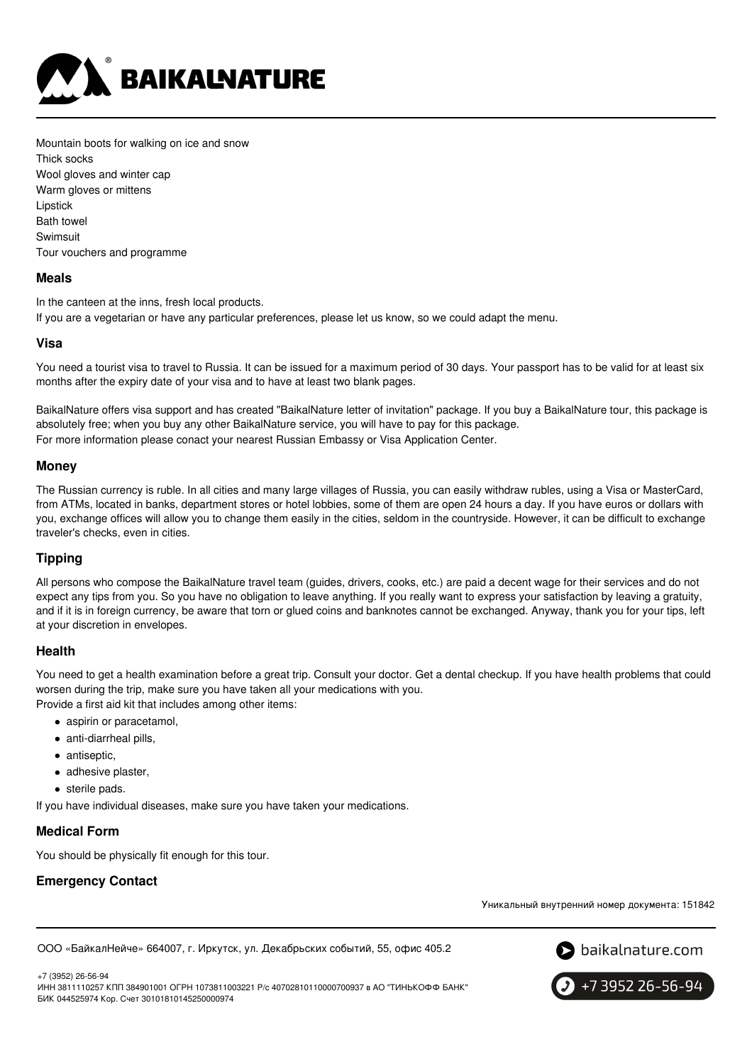

Mountain boots for walking on ice and snow Thick socks Wool gloves and winter cap Warm gloves or mittens Lipstick Bath towel **Swimsuit** Tour vouchers and programme

### **Meals**

In the canteen at the inns, fresh local products. If you are a vegetarian or have any particular preferences, please let us know, so we could adapt the menu.

### **Visa**

You need a tourist visa to travel to Russia. It can be issued for a maximum period of 30 days. Your passport has to be valid for at least six months after the expiry date of your visa and to have at least two blank pages.

BaikalNature offers visa support and has created "BaikalNature letter of invitation" package. If you buy a BaikalNature tour, this package is absolutely free; when you buy any other BaikalNature service, you will have to pay for this package. For more information please conact your nearest Russian Embassy or Visa Application Center.

### **Money**

The Russian currency is ruble. In all cities and many large villages of Russia, you can easily withdraw rubles, using a Visa or MasterCard, from ATMs, located in banks, department stores or hotel lobbies, some of them are open 24 hours a day. If you have euros or dollars with you, exchange offices will allow you to change them easily in the cities, seldom in the countryside. However, it can be difficult to exchange traveler's checks, even in cities.

### **Tipping**

All persons who compose the BaikalNature travel team (guides, drivers, cooks, etc.) are paid a decent wage for their services and do not expect any tips from you. So you have no obligation to leave anything. If you really want to express your satisfaction by leaving a gratuity, and if it is in foreign currency, be aware that torn or glued coins and banknotes cannot be exchanged. Anyway, thank you for your tips, left at your discretion in envelopes.

### **Health**

You need to get a health examination before a great trip. Consult your doctor. Get a dental checkup. If you have health problems that could worsen during the trip, make sure you have taken all your medications with you.

- Provide a first aid kit that includes among other items:
	- aspirin or paracetamol,
	- anti-diarrheal pills,
	- antiseptic,
	- adhesive plaster,
	- sterile pads.

If you have individual diseases, make sure you have taken your medications.

# **Medical Form**

You should be physically fit enough for this tour.

# **Emergency Contact**

Уникальный внутренний номер документа: 151842

ООО «БайкалНейче» 664007, г. Иркутск, ул. Декабрьских событий, 55, офис 405.2